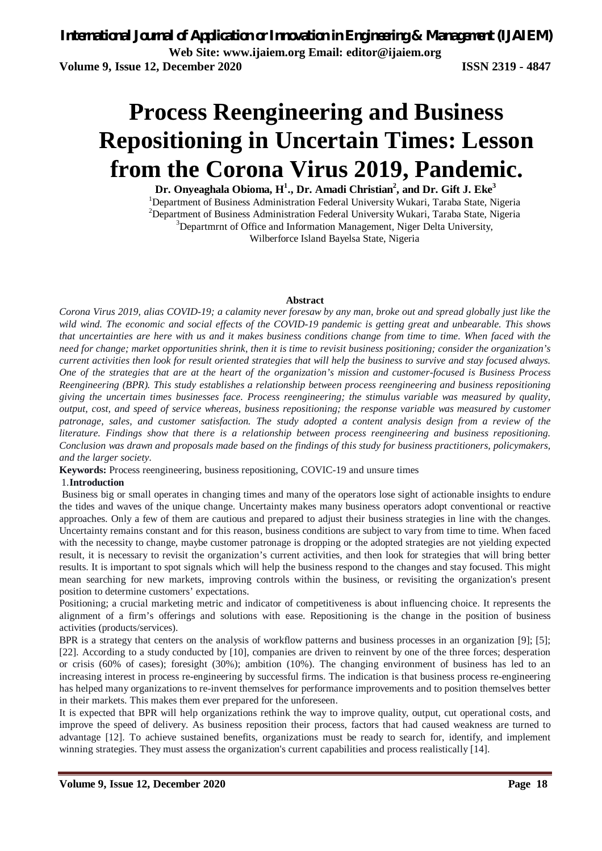# **Process Reengineering and Business Repositioning in Uncertain Times: Lesson from the Corona Virus 2019, Pandemic.**

**Dr. Onyeaghala Obioma, H<sup>1</sup> ., Dr. Amadi Christian<sup>2</sup> , and Dr. Gift J. Eke<sup>3</sup>** <sup>1</sup>Department of Business Administration Federal University Wukari, Taraba State, Nigeria <sup>2</sup>Department of Business Administration Federal University Wukari, Taraba State, Nigeria <sup>3</sup>Departmrnt of Office and Information Management, Niger Delta University, Wilberforce Island Bayelsa State, Nigeria

#### **Abstract**

*Corona Virus 2019, alias COVID-19; a calamity never foresaw by any man, broke out and spread globally just like the wild wind. The economic and social effects of the COVID-19 pandemic is getting great and unbearable. This shows that uncertainties are here with us and it makes business conditions change from time to time. When faced with the need for change; market opportunities shrink, then it is time to revisit business positioning; consider the organization's current activities then look for result oriented strategies that will help the business to survive and stay focused always. One of the strategies that are at the heart of the organization's mission and customer-focused is Business Process Reengineering (BPR). This study establishes a relationship between process reengineering and business repositioning giving the uncertain times businesses face. Process reengineering; the stimulus variable was measured by quality, output, cost, and speed of service whereas, business repositioning; the response variable was measured by customer patronage, sales, and customer satisfaction. The study adopted a content analysis design from a review of the literature. Findings show that there is a relationship between process reengineering and business repositioning. Conclusion was drawn and proposals made based on the findings of this study for business practitioners, policymakers, and the larger society.*

**Keywords:** Process reengineering, business repositioning, COVIC-19 and unsure times

### 1.**Introduction**

Business big or small operates in changing times and many of the operators lose sight of actionable insights to endure the tides and waves of the unique change. Uncertainty makes many business operators adopt conventional or reactive approaches. Only a few of them are cautious and prepared to adjust their business strategies in line with the changes. Uncertainty remains constant and for this reason, business conditions are subject to vary from time to time. When faced with the necessity to change, maybe customer patronage is dropping or the adopted strategies are not yielding expected result, it is necessary to revisit the organization's current activities, and then look for strategies that will bring better results. It is important to spot signals which will help the business respond to the changes and stay focused. This might mean searching for new markets, improving controls within the business, or revisiting the organization's present position to determine customers' expectations.

Positioning; a crucial marketing metric and indicator of competitiveness is about influencing choice. It represents the alignment of a firm's offerings and solutions with ease. Repositioning is the change in the position of business activities (products/services).

BPR is a strategy that centers on the analysis of workflow patterns and business processes in an organization [9]; [5]; [22]. According to a study conducted by [10], companies are driven to reinvent by one of the three forces; desperation or crisis (60% of cases); foresight (30%); ambition (10%). The changing environment of business has led to an increasing interest in process re-engineering by successful firms. The indication is that business process re-engineering has helped many organizations to re-invent themselves for performance improvements and to position themselves better in their markets. This makes them ever prepared for the unforeseen.

It is expected that BPR will help organizations rethink the way to improve quality, output, cut operational costs, and improve the speed of delivery. As business reposition their process, factors that had caused weakness are turned to advantage [12]. To achieve sustained benefits, organizations must be ready to search for, identify, and implement winning strategies. They must assess the organization's current capabilities and process realistically [14].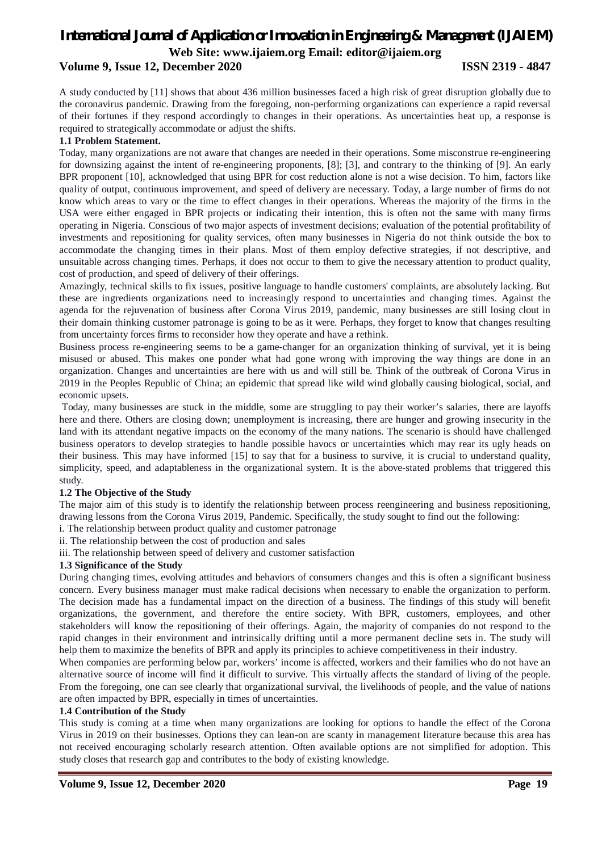### **Volume 9, Issue 12, December 2020 ISSN 2319 - 4847**

A study conducted by [11] shows that about 436 million businesses faced a high risk of great disruption globally due to the coronavirus pandemic. Drawing from the foregoing, non-performing organizations can experience a rapid reversal of their fortunes if they respond accordingly to changes in their operations. As uncertainties heat up, a response is required to strategically accommodate or adjust the shifts.

### **1.1 Problem Statement.**

Today, many organizations are not aware that changes are needed in their operations. Some misconstrue re-engineering for downsizing against the intent of re-engineering proponents, [8]; [3], and contrary to the thinking of [9]. An early BPR proponent [10], acknowledged that using BPR for cost reduction alone is not a wise decision. To him, factors like quality of output, continuous improvement, and speed of delivery are necessary. Today, a large number of firms do not know which areas to vary or the time to effect changes in their operations. Whereas the majority of the firms in the USA were either engaged in BPR projects or indicating their intention, this is often not the same with many firms operating in Nigeria. Conscious of two major aspects of investment decisions; evaluation of the potential profitability of investments and repositioning for quality services, often many businesses in Nigeria do not think outside the box to accommodate the changing times in their plans. Most of them employ defective strategies, if not descriptive, and unsuitable across changing times. Perhaps, it does not occur to them to give the necessary attention to product quality, cost of production, and speed of delivery of their offerings.

Amazingly, technical skills to fix issues, positive language to handle customers' complaints, are absolutely lacking. But these are ingredients organizations need to increasingly respond to uncertainties and changing times. Against the agenda for the rejuvenation of business after Corona Virus 2019, pandemic, many businesses are still losing clout in their domain thinking customer patronage is going to be as it were. Perhaps, they forget to know that changes resulting from uncertainty forces firms to reconsider how they operate and have a rethink.

Business process re-engineering seems to be a game-changer for an organization thinking of survival, yet it is being misused or abused. This makes one ponder what had gone wrong with improving the way things are done in an organization. Changes and uncertainties are here with us and will still be. Think of the outbreak of Corona Virus in 2019 in the Peoples Republic of China; an epidemic that spread like wild wind globally causing biological, social, and economic upsets.

Today, many businesses are stuck in the middle, some are struggling to pay their worker's salaries, there are layoffs here and there. Others are closing down; unemployment is increasing, there are hunger and growing insecurity in the land with its attendant negative impacts on the economy of the many nations. The scenario is should have challenged business operators to develop strategies to handle possible havocs or uncertainties which may rear its ugly heads on their business. This may have informed [15] to say that for a business to survive, it is crucial to understand quality, simplicity, speed, and adaptableness in the organizational system. It is the above-stated problems that triggered this study.

### **1.2 The Objective of the Study**

The major aim of this study is to identify the relationship between process reengineering and business repositioning, drawing lessons from the Corona Virus 2019, Pandemic. Specifically, the study sought to find out the following:

i. The relationship between product quality and customer patronage

ii. The relationship between the cost of production and sales

iii. The relationship between speed of delivery and customer satisfaction

### **1.3 Significance of the Study**

During changing times, evolving attitudes and behaviors of consumers changes and this is often a significant business concern. Every business manager must make radical decisions when necessary to enable the organization to perform. The decision made has a fundamental impact on the direction of a business. The findings of this study will benefit organizations, the government, and therefore the entire society. With BPR, customers, employees, and other stakeholders will know the repositioning of their offerings. Again, the majority of companies do not respond to the rapid changes in their environment and intrinsically drifting until a more permanent decline sets in. The study will help them to maximize the benefits of BPR and apply its principles to achieve competitiveness in their industry.

When companies are performing below par, workers' income is affected, workers and their families who do not have an alternative source of income will find it difficult to survive. This virtually affects the standard of living of the people. From the foregoing, one can see clearly that organizational survival, the livelihoods of people, and the value of nations are often impacted by BPR, especially in times of uncertainties.

### **1.4 Contribution of the Study**

This study is coming at a time when many organizations are looking for options to handle the effect of the Corona Virus in 2019 on their businesses. Options they can lean-on are scanty in management literature because this area has not received encouraging scholarly research attention. Often available options are not simplified for adoption. This study closes that research gap and contributes to the body of existing knowledge.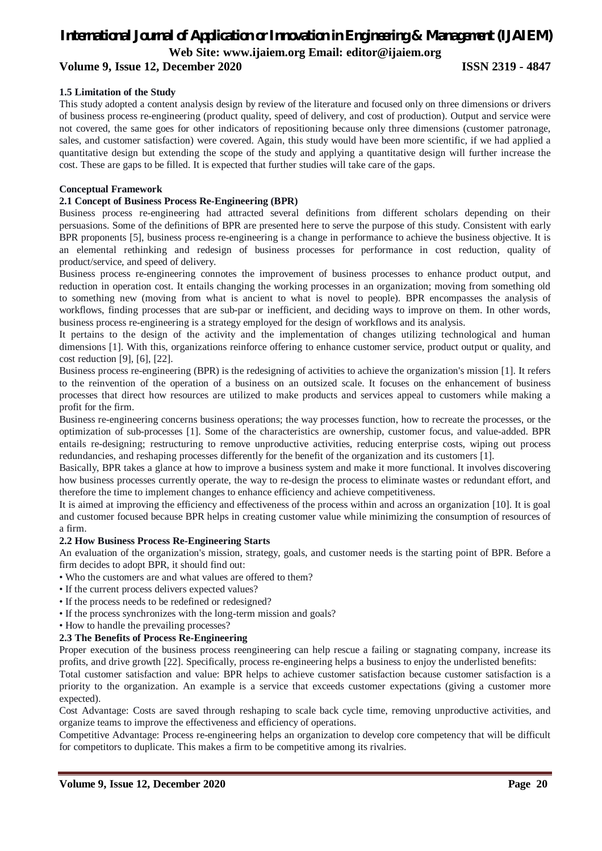# *International Journal of Application or Innovation in Engineering & Management (IJAIEM)*

**Web Site: www.ijaiem.org Email: editor@ijaiem.org**

### **Volume 9, Issue 12, December 2020 ISSN 2319 - 4847**

### **1.5 Limitation of the Study**

This study adopted a content analysis design by review of the literature and focused only on three dimensions or drivers of business process re-engineering (product quality, speed of delivery, and cost of production). Output and service were not covered, the same goes for other indicators of repositioning because only three dimensions (customer patronage, sales, and customer satisfaction) were covered. Again, this study would have been more scientific, if we had applied a quantitative design but extending the scope of the study and applying a quantitative design will further increase the cost. These are gaps to be filled. It is expected that further studies will take care of the gaps.

### **Conceptual Framework**

### **2.1 Concept of Business Process Re-Engineering (BPR)**

Business process re-engineering had attracted several definitions from different scholars depending on their persuasions. Some of the definitions of BPR are presented here to serve the purpose of this study. Consistent with early BPR proponents [5], business process re-engineering is a change in performance to achieve the business objective. It is an elemental rethinking and redesign of business processes for performance in cost reduction, quality of product/service, and speed of delivery.

Business process re-engineering connotes the improvement of business processes to enhance product output, and reduction in operation cost. It entails changing the working processes in an organization; moving from something old to something new (moving from what is ancient to what is novel to people). BPR encompasses the analysis of workflows, finding processes that are sub-par or inefficient, and deciding ways to improve on them. In other words, business process re-engineering is a strategy employed for the design of workflows and its analysis.

It pertains to the design of the activity and the implementation of changes utilizing technological and human dimensions [1]. With this, organizations reinforce offering to enhance customer service, product output or quality, and cost reduction [9], [6], [22].

Business process re-engineering (BPR) is the redesigning of activities to achieve the organization's mission [1]. It refers to the reinvention of the operation of a business on an outsized scale. It focuses on the enhancement of business processes that direct how resources are utilized to make products and services appeal to customers while making a profit for the firm.

Business re-engineering concerns business operations; the way processes function, how to recreate the processes, or the optimization of sub-processes [1]. Some of the characteristics are ownership, customer focus, and value-added. BPR entails re-designing; restructuring to remove unproductive activities, reducing enterprise costs, wiping out process redundancies, and reshaping processes differently for the benefit of the organization and its customers [1].

Basically, BPR takes a glance at how to improve a business system and make it more functional. It involves discovering how business processes currently operate, the way to re-design the process to eliminate wastes or redundant effort, and therefore the time to implement changes to enhance efficiency and achieve competitiveness.

It is aimed at improving the efficiency and effectiveness of the process within and across an organization [10]. It is goal and customer focused because BPR helps in creating customer value while minimizing the consumption of resources of a firm.

### **2.2 How Business Process Re-Engineering Starts**

An evaluation of the organization's mission, strategy, goals, and customer needs is the starting point of BPR. Before a firm decides to adopt BPR, it should find out:

- Who the customers are and what values are offered to them?
- If the current process delivers expected values?
- If the process needs to be redefined or redesigned?
- If the process synchronizes with the long-term mission and goals?
- How to handle the prevailing processes?

### **2.3 The Benefits of Process Re-Engineering**

Proper execution of the business process reengineering can help rescue a failing or stagnating company, increase its profits, and drive growth [22]. Specifically, process re-engineering helps a business to enjoy the underlisted benefits:

Total customer satisfaction and value: BPR helps to achieve customer satisfaction because customer satisfaction is a priority to the organization. An example is a service that exceeds customer expectations (giving a customer more expected).

Cost Advantage: Costs are saved through reshaping to scale back cycle time, removing unproductive activities, and organize teams to improve the effectiveness and efficiency of operations.

Competitive Advantage: Process re-engineering helps an organization to develop core competency that will be difficult for competitors to duplicate. This makes a firm to be competitive among its rivalries.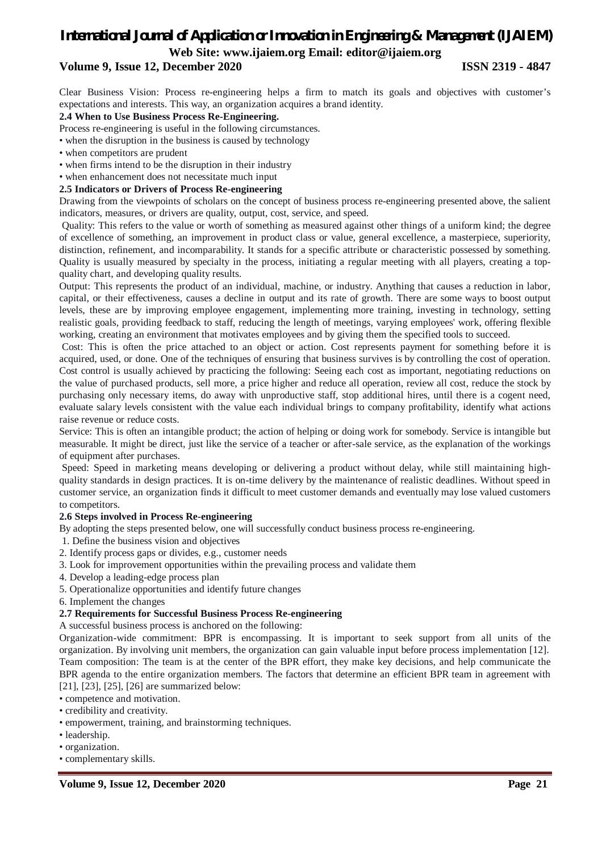# *International Journal of Application or Innovation in Engineering & Management (IJAIEM)*

**Web Site: www.ijaiem.org Email: editor@ijaiem.org**

### **Volume 9, Issue 12, December 2020 ISSN 2319 - 4847**

Clear Business Vision: Process re-engineering helps a firm to match its goals and objectives with customer's expectations and interests. This way, an organization acquires a brand identity.

### **2.4 When to Use Business Process Re-Engineering.**

Process re-engineering is useful in the following circumstances.

- when the disruption in the business is caused by technology
- when competitors are prudent

• when firms intend to be the disruption in their industry

• when enhancement does not necessitate much input

### **2.5 Indicators or Drivers of Process Re-engineering**

Drawing from the viewpoints of scholars on the concept of business process re-engineering presented above, the salient indicators, measures, or drivers are quality, output, cost, service, and speed.

Quality: This refers to the value or worth of something as measured against other things of a uniform kind; the degree of excellence of something, an improvement in product class or value, general excellence, a masterpiece, superiority, distinction, refinement, and incomparability. It stands for a specific attribute or characteristic possessed by something. Quality is usually measured by specialty in the process, initiating a regular meeting with all players, creating a topquality chart, and developing quality results.

Output: This represents the product of an individual, machine, or industry. Anything that causes a reduction in labor, capital, or their effectiveness, causes a decline in output and its rate of growth. There are some ways to boost output levels, these are by improving employee engagement, implementing more training, investing in technology, setting realistic goals, providing feedback to staff, reducing the length of meetings, varying employees' work, offering flexible working, creating an environment that motivates employees and by giving them the specified tools to succeed.

Cost: This is often the price attached to an object or action. Cost represents payment for something before it is acquired, used, or done. One of the techniques of ensuring that business survives is by controlling the cost of operation. Cost control is usually achieved by practicing the following: Seeing each cost as important, negotiating reductions on the value of purchased products, sell more, a price higher and reduce all operation, review all cost, reduce the stock by purchasing only necessary items, do away with unproductive staff, stop additional hires, until there is a cogent need, evaluate salary levels consistent with the value each individual brings to company profitability, identify what actions raise revenue or reduce costs.

Service: This is often an intangible product; the action of helping or doing work for somebody. Service is intangible but measurable. It might be direct, just like the service of a teacher or after-sale service, as the explanation of the workings of equipment after purchases.

Speed: Speed in marketing means developing or delivering a product without delay, while still maintaining highquality standards in design practices. It is on-time delivery by the maintenance of realistic deadlines. Without speed in customer service, an organization finds it difficult to meet customer demands and eventually may lose valued customers to competitors.

### **2.6 Steps involved in Process Re-engineering**

By adopting the steps presented below, one will successfully conduct business process re-engineering.

- 1. Define the business vision and objectives
- 2. Identify process gaps or divides, e.g., customer needs
- 3. Look for improvement opportunities within the prevailing process and validate them
- 4. Develop a leading-edge process plan
- 5. Operationalize opportunities and identify future changes

6. Implement the changes

### **2.7 Requirements for Successful Business Process Re-engineering**

A successful business process is anchored on the following:

Organization-wide commitment: BPR is encompassing. It is important to seek support from all units of the organization. By involving unit members, the organization can gain valuable input before process implementation [12]. Team composition: The team is at the center of the BPR effort, they make key decisions, and help communicate the BPR agenda to the entire organization members. The factors that determine an efficient BPR team in agreement with [21], [23], [25], [26] are summarized below:

• competence and motivation.

- credibility and creativity.
- empowerment, training, and brainstorming techniques.
- leadership.
- organization.
- complementary skills.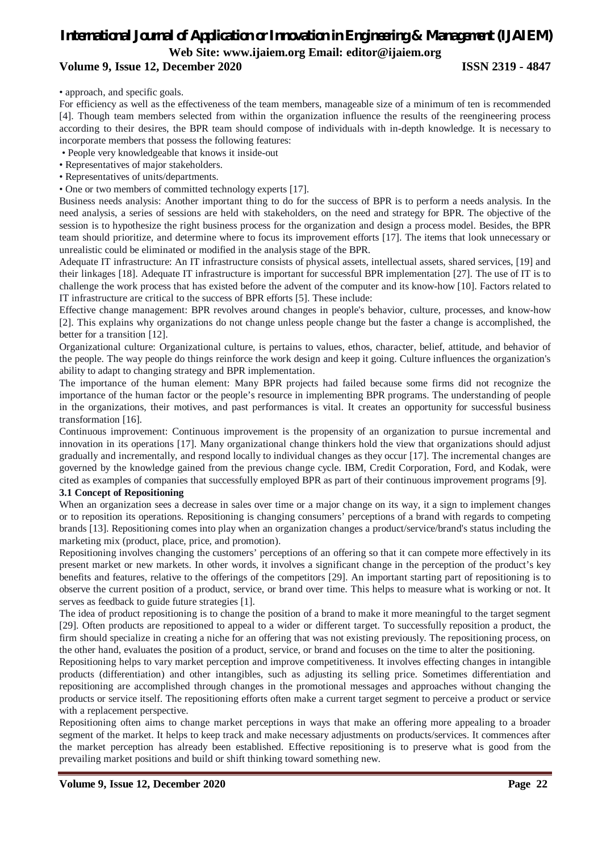# *International Journal of Application or Innovation in Engineering & Management (IJAIEM)*

**Web Site: www.ijaiem.org Email: editor@ijaiem.org**

### **Volume 9, Issue 12, December 2020 ISSN 2319 - 4847**

• approach, and specific goals.

For efficiency as well as the effectiveness of the team members, manageable size of a minimum of ten is recommended [4]. Though team members selected from within the organization influence the results of the reengineering process according to their desires, the BPR team should compose of individuals with in-depth knowledge. It is necessary to incorporate members that possess the following features:

- People very knowledgeable that knows it inside-out
- Representatives of major stakeholders.
- Representatives of units/departments.
- One or two members of committed technology experts [17].

Business needs analysis: Another important thing to do for the success of BPR is to perform a needs analysis. In the need analysis, a series of sessions are held with stakeholders, on the need and strategy for BPR. The objective of the session is to hypothesize the right business process for the organization and design a process model. Besides, the BPR team should prioritize, and determine where to focus its improvement efforts [17]. The items that look unnecessary or unrealistic could be eliminated or modified in the analysis stage of the BPR.

Adequate IT infrastructure: An IT infrastructure consists of physical assets, intellectual assets, shared services, [19] and their linkages [18]. Adequate IT infrastructure is important for successful BPR implementation [27]. The use of IT is to challenge the work process that has existed before the advent of the computer and its know-how [10]. Factors related to IT infrastructure are critical to the success of BPR efforts [5]. These include:

Effective change management: BPR revolves around changes in people's behavior, culture, processes, and know-how [2]. This explains why organizations do not change unless people change but the faster a change is accomplished, the better for a transition [12].

Organizational culture: Organizational culture, is pertains to values, ethos, character, belief, attitude, and behavior of the people. The way people do things reinforce the work design and keep it going. Culture influences the organization's ability to adapt to changing strategy and BPR implementation.

The importance of the human element: Many BPR projects had failed because some firms did not recognize the importance of the human factor or the people's resource in implementing BPR programs. The understanding of people in the organizations, their motives, and past performances is vital. It creates an opportunity for successful business transformation [16].

Continuous improvement: Continuous improvement is the propensity of an organization to pursue incremental and innovation in its operations [17]. Many organizational change thinkers hold the view that organizations should adjust gradually and incrementally, and respond locally to individual changes as they occur [17]. The incremental changes are governed by the knowledge gained from the previous change cycle. IBM, Credit Corporation, Ford, and Kodak, were cited as examples of companies that successfully employed BPR as part of their continuous improvement programs [9].

### **3.1 Concept of Repositioning**

When an organization sees a decrease in sales over time or a major change on its way, it a sign to implement changes or to reposition its operations. Repositioning is changing consumers' perceptions of a brand with regards to competing brands [13]. Repositioning comes into play when an organization changes a product/service/brand's status including the marketing mix (product, place, price, and promotion).

Repositioning involves changing the customers' perceptions of an offering so that it can compete more effectively in its present market or new markets. In other words, it involves a significant change in the perception of the product's key benefits and features, relative to the offerings of the competitors [29]. An important starting part of repositioning is to observe the current position of a product, service, or brand over time. This helps to measure what is working or not. It serves as feedback to guide future strategies [1].

The idea of product repositioning is to change the position of a brand to make it more meaningful to the target segment [29]. Often products are repositioned to appeal to a wider or different target. To successfully reposition a product, the firm should specialize in creating a niche for an offering that was not existing previously. The repositioning process, on the other hand, evaluates the position of a product, service, or brand and focuses on the time to alter the positioning.

Repositioning helps to vary market perception and improve competitiveness. It involves effecting changes in intangible products (differentiation) and other intangibles, such as adjusting its selling price. Sometimes differentiation and repositioning are accomplished through changes in the promotional messages and approaches without changing the products or service itself. The repositioning efforts often make a current target segment to perceive a product or service with a replacement perspective.

Repositioning often aims to change market perceptions in ways that make an offering more appealing to a broader segment of the market. It helps to keep track and make necessary adjustments on products/services. It commences after the market perception has already been established. Effective repositioning is to preserve what is good from the prevailing market positions and build or shift thinking toward something new.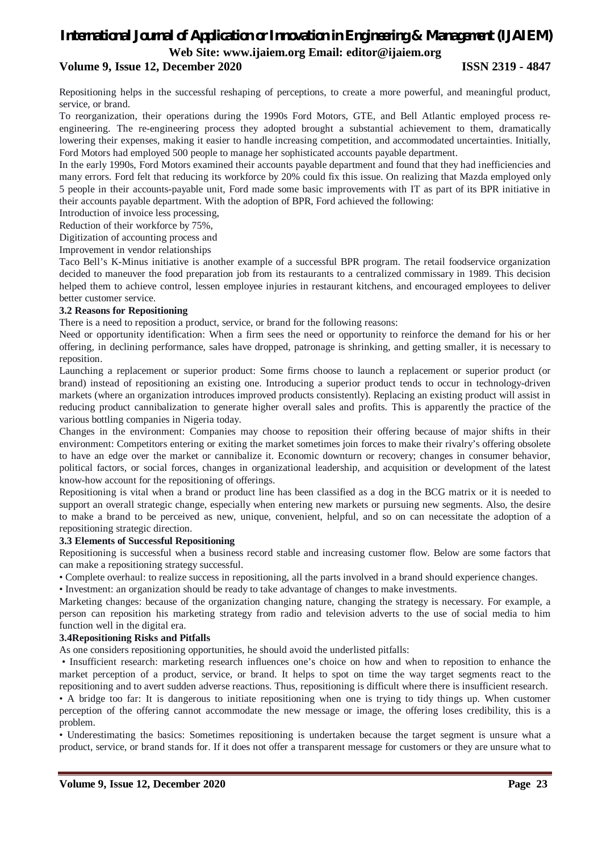### **Volume 9, Issue 12, December 2020 ISSN 2319 - 4847**

Repositioning helps in the successful reshaping of perceptions, to create a more powerful, and meaningful product, service, or brand.

To reorganization, their operations during the 1990s Ford Motors, GTE, and Bell Atlantic employed process reengineering. The re-engineering process they adopted brought a substantial achievement to them, dramatically lowering their expenses, making it easier to handle increasing competition, and accommodated uncertainties. Initially, Ford Motors had employed 500 people to manage her sophisticated accounts payable department.

In the early 1990s, Ford Motors examined their accounts payable department and found that they had inefficiencies and many errors. Ford felt that reducing its workforce by 20% could fix this issue. On realizing that Mazda employed only 5 people in their accounts-payable unit, Ford made some basic improvements with IT as part of its BPR initiative in their accounts payable department. With the adoption of BPR, Ford achieved the following:

Introduction of invoice less processing,

Reduction of their workforce by 75%,

Digitization of accounting process and

Improvement in vendor relationships

Taco Bell's K-Minus initiative is another example of a successful BPR program. The retail foodservice organization decided to maneuver the food preparation job from its restaurants to a centralized commissary in 1989. This decision helped them to achieve control, lessen employee injuries in restaurant kitchens, and encouraged employees to deliver better customer service.

### **3.2 Reasons for Repositioning**

There is a need to reposition a product, service, or brand for the following reasons:

Need or opportunity identification: When a firm sees the need or opportunity to reinforce the demand for his or her offering, in declining performance, sales have dropped, patronage is shrinking, and getting smaller, it is necessary to reposition.

Launching a replacement or superior product: Some firms choose to launch a replacement or superior product (or brand) instead of repositioning an existing one. Introducing a superior product tends to occur in technology-driven markets (where an organization introduces improved products consistently). Replacing an existing product will assist in reducing product cannibalization to generate higher overall sales and profits. This is apparently the practice of the various bottling companies in Nigeria today.

Changes in the environment: Companies may choose to reposition their offering because of major shifts in their environment: Competitors entering or exiting the market sometimes join forces to make their rivalry's offering obsolete to have an edge over the market or cannibalize it. Economic downturn or recovery; changes in consumer behavior, political factors, or social forces, changes in organizational leadership, and acquisition or development of the latest know-how account for the repositioning of offerings.

Repositioning is vital when a brand or product line has been classified as a dog in the BCG matrix or it is needed to support an overall strategic change, especially when entering new markets or pursuing new segments. Also, the desire to make a brand to be perceived as new, unique, convenient, helpful, and so on can necessitate the adoption of a repositioning strategic direction.

### **3.3 Elements of Successful Repositioning**

Repositioning is successful when a business record stable and increasing customer flow. Below are some factors that can make a repositioning strategy successful.

• Complete overhaul: to realize success in repositioning, all the parts involved in a brand should experience changes.

• Investment: an organization should be ready to take advantage of changes to make investments.

Marketing changes: because of the organization changing nature, changing the strategy is necessary. For example, a person can reposition his marketing strategy from radio and television adverts to the use of social media to him function well in the digital era.

### **3.4Repositioning Risks and Pitfalls**

As one considers repositioning opportunities, he should avoid the underlisted pitfalls:

• Insufficient research: marketing research influences one's choice on how and when to reposition to enhance the market perception of a product, service, or brand. It helps to spot on time the way target segments react to the repositioning and to avert sudden adverse reactions. Thus, repositioning is difficult where there is insufficient research.

• A bridge too far: It is dangerous to initiate repositioning when one is trying to tidy things up. When customer perception of the offering cannot accommodate the new message or image, the offering loses credibility, this is a problem.

• Underestimating the basics: Sometimes repositioning is undertaken because the target segment is unsure what a product, service, or brand stands for. If it does not offer a transparent message for customers or they are unsure what to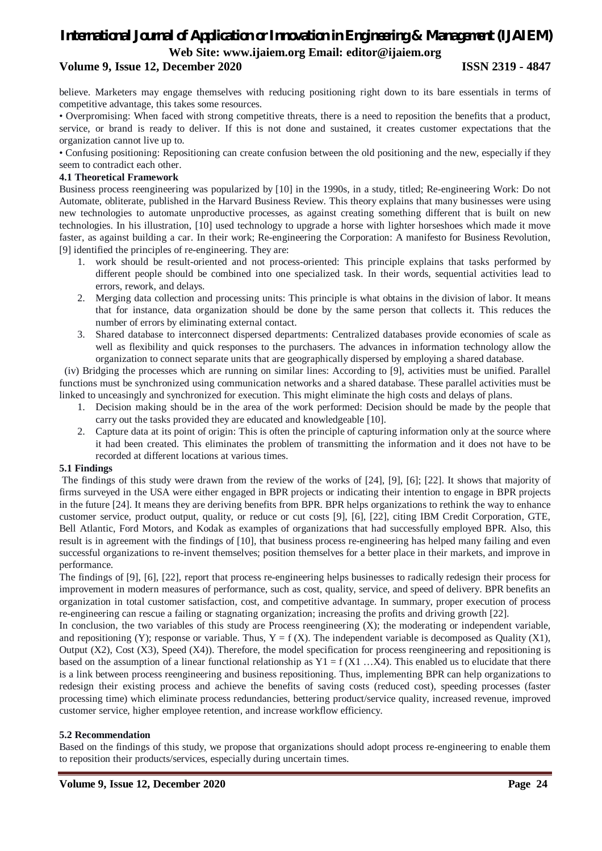### **Volume 9, Issue 12, December 2020 ISSN 2319 - 4847**

believe. Marketers may engage themselves with reducing positioning right down to its bare essentials in terms of competitive advantage, this takes some resources.

• Overpromising: When faced with strong competitive threats, there is a need to reposition the benefits that a product, service, or brand is ready to deliver. If this is not done and sustained, it creates customer expectations that the organization cannot live up to.

• Confusing positioning: Repositioning can create confusion between the old positioning and the new, especially if they seem to contradict each other.

### **4.1 Theoretical Framework**

Business process reengineering was popularized by [10] in the 1990s, in a study, titled; Re-engineering Work: Do not Automate, obliterate, published in the Harvard Business Review. This theory explains that many businesses were using new technologies to automate unproductive processes, as against creating something different that is built on new technologies. In his illustration, [10] used technology to upgrade a horse with lighter horseshoes which made it move faster, as against building a car. In their work; Re-engineering the Corporation: A manifesto for Business Revolution, [9] identified the principles of re-engineering. They are:

- 1. work should be result-oriented and not process-oriented: This principle explains that tasks performed by different people should be combined into one specialized task. In their words, sequential activities lead to errors, rework, and delays.
- 2. Merging data collection and processing units: This principle is what obtains in the division of labor. It means that for instance, data organization should be done by the same person that collects it. This reduces the number of errors by eliminating external contact.
- 3. Shared database to interconnect dispersed departments: Centralized databases provide economies of scale as well as flexibility and quick responses to the purchasers. The advances in information technology allow the organization to connect separate units that are geographically dispersed by employing a shared database.

 (iv) Bridging the processes which are running on similar lines: According to [9], activities must be unified. Parallel functions must be synchronized using communication networks and a shared database. These parallel activities must be linked to unceasingly and synchronized for execution. This might eliminate the high costs and delays of plans.

- 1. Decision making should be in the area of the work performed: Decision should be made by the people that carry out the tasks provided they are educated and knowledgeable [10].
- 2. Capture data at its point of origin: This is often the principle of capturing information only at the source where it had been created. This eliminates the problem of transmitting the information and it does not have to be recorded at different locations at various times.

### **5.1 Findings**

The findings of this study were drawn from the review of the works of [24], [9], [6]; [22]. It shows that majority of firms surveyed in the USA were either engaged in BPR projects or indicating their intention to engage in BPR projects in the future [24]. It means they are deriving benefits from BPR. BPR helps organizations to rethink the way to enhance customer service, product output, quality, or reduce or cut costs [9], [6], [22], citing IBM Credit Corporation, GTE, Bell Atlantic, Ford Motors, and Kodak as examples of organizations that had successfully employed BPR. Also, this result is in agreement with the findings of [10], that business process re-engineering has helped many failing and even successful organizations to re-invent themselves; position themselves for a better place in their markets, and improve in performance.

The findings of [9], [6], [22], report that process re-engineering helps businesses to radically redesign their process for improvement in modern measures of performance, such as cost, quality, service, and speed of delivery. BPR benefits an organization in total customer satisfaction, cost, and competitive advantage. In summary, proper execution of process re-engineering can rescue a failing or stagnating organization; increasing the profits and driving growth [22].

In conclusion, the two variables of this study are Process reengineering (X); the moderating or independent variable, and repositioning (Y); response or variable. Thus,  $Y = f(X)$ . The independent variable is decomposed as Quality (X1), Output (X2), Cost (X3), Speed (X4)). Therefore, the model specification for process reengineering and repositioning is based on the assumption of a linear functional relationship as  $Y1 = f(X1 \dots X4)$ . This enabled us to elucidate that there is a link between process reengineering and business repositioning. Thus, implementing BPR can help organizations to redesign their existing process and achieve the benefits of saving costs (reduced cost), speeding processes (faster processing time) which eliminate process redundancies, bettering product/service quality, increased revenue, improved customer service, higher employee retention, and increase workflow efficiency.

### **5.2 Recommendation**

Based on the findings of this study, we propose that organizations should adopt process re-engineering to enable them to reposition their products/services, especially during uncertain times.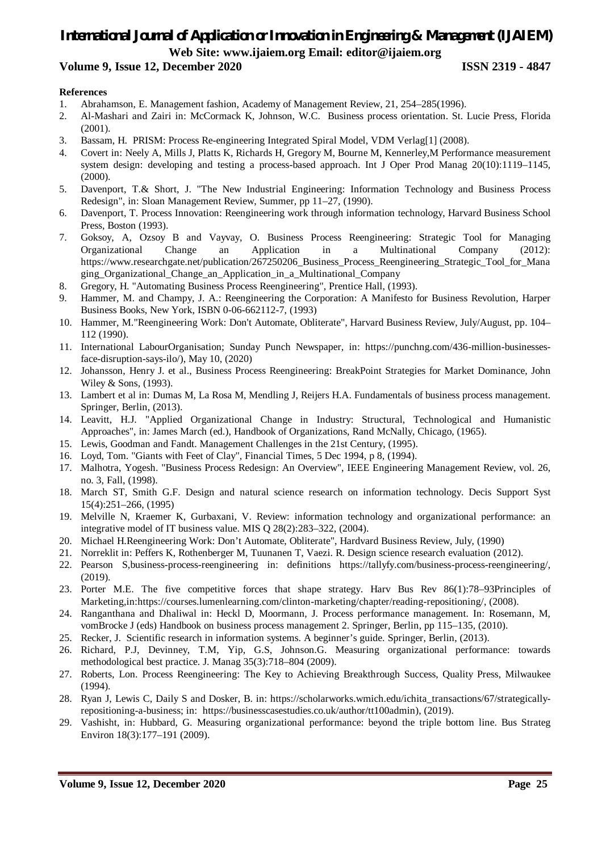### **Volume 9, Issue 12, December 2020 ISSN 2319 - 4847**

### **References**

- 1. Abrahamson, E. Management fashion, Academy of Management Review, 21, 254–285(1996).
- 2. Al-Mashari and Zairi in: McCormack K, Johnson, W.C. Business process orientation. St. Lucie Press, Florida (2001).
- 3. Bassam, H. PRISM: Process Re-engineering Integrated Spiral Model, VDM Verlag[1] (2008).
- 4. Covert in: Neely A, Mills J, Platts K, Richards H, Gregory M, Bourne M, Kennerley,M Performance measurement system design: developing and testing a process-based approach. Int J Oper Prod Manag 20(10):1119–1145, (2000).
- 5. Davenport, T.& Short, J. "The New Industrial Engineering: Information Technology and Business Process Redesign", in: Sloan Management Review, Summer, pp 11–27, (1990).
- 6. Davenport, T. Process Innovation: Reengineering work through information technology, Harvard Business School Press, Boston (1993).
- 7. Goksoy, A, Ozsoy B and Vayvay, O. Business Process Reengineering: Strategic Tool for Managing Organizational Change an Application in a Multinational Company (2012): https://www.researchgate.net/publication/267250206\_Business\_Process\_Reengineering\_Strategic\_Tool\_for\_Mana ging\_Organizational\_Change\_an\_Application\_in\_a\_Multinational\_Company
- 8. Gregory, H. "Automating Business Process Reengineering", Prentice Hall, (1993).
- 9. Hammer, M. and Champy, J. A.: Reengineering the Corporation: A Manifesto for Business Revolution, Harper Business Books, New York, ISBN 0-06-662112-7, (1993)
- 10. Hammer, M."Reengineering Work: Don't Automate, Obliterate", Harvard Business Review, July/August, pp. 104– 112 (1990).
- 11. International LabourOrganisation; Sunday Punch Newspaper, in: https://punchng.com/436-million-businessesface-disruption-says-ilo/), May 10, (2020)
- 12. Johansson, Henry J. et al., Business Process Reengineering: BreakPoint Strategies for Market Dominance, John Wiley & Sons, (1993).
- 13. Lambert et al in: Dumas M, La Rosa M, Mendling J, Reijers H.A. Fundamentals of business process management. Springer, Berlin, (2013).
- 14. Leavitt, H.J. "Applied Organizational Change in Industry: Structural, Technological and Humanistic Approaches", in: James March (ed.), Handbook of Organizations, Rand McNally, Chicago, (1965).
- 15. Lewis, Goodman and Fandt. Management Challenges in the 21st Century, (1995).
- 16. Loyd, Tom. "Giants with Feet of Clay", Financial Times, 5 Dec 1994, p 8, (1994).
- 17. Malhotra, Yogesh. "Business Process Redesign: An Overview", IEEE Engineering Management Review, vol. 26, no. 3, Fall, (1998).
- 18. March ST, Smith G.F. Design and natural science research on information technology. Decis Support Syst 15(4):251–266, (1995)
- 19. Melville N, Kraemer K, Gurbaxani, V. Review: information technology and organizational performance: an integrative model of IT business value. MIS Q 28(2):283–322, (2004).
- 20. Michael H.Reengineering Work: Don't Automate, Obliterate", Hardvard Business Review, July, (1990)
- 21. Norreklit in: Peffers K, Rothenberger M, Tuunanen T, Vaezi. R. Design science research evaluation (2012).
- 22. Pearson S,business-process-reengineering in: definitions https://tallyfy.com/business-process-reengineering/, (2019).
- 23. Porter M.E. The five competitive forces that shape strategy. Harv Bus Rev 86(1):78–93Principles of Marketing,in:https://courses.lumenlearning.com/clinton-marketing/chapter/reading-repositioning/, (2008).
- 24. Ranganthana and Dhaliwal in: Heckl D, Moormann, J. Process performance management. In: Rosemann, M, vomBrocke J (eds) Handbook on business process management 2. Springer, Berlin, pp 115–135, (2010).
- 25. Recker, J. Scientific research in information systems. A beginner's guide. Springer, Berlin, (2013).
- 26. Richard, P.J, Devinney, T.M, Yip, G.S, Johnson.G. Measuring organizational performance: towards methodological best practice. J. Manag 35(3):718–804 (2009).
- 27. Roberts, Lon. Process Reengineering: The Key to Achieving Breakthrough Success, Quality Press, Milwaukee (1994).
- 28. Ryan J, Lewis C, Daily S and Dosker, B. in: https://scholarworks.wmich.edu/ichita\_transactions/67/strategicallyrepositioning-a-business; in: https://businesscasestudies.co.uk/author/tt100admin), (2019).
- 29. Vashisht, in: Hubbard, G. Measuring organizational performance: beyond the triple bottom line. Bus Strateg Environ 18(3):177–191 (2009).